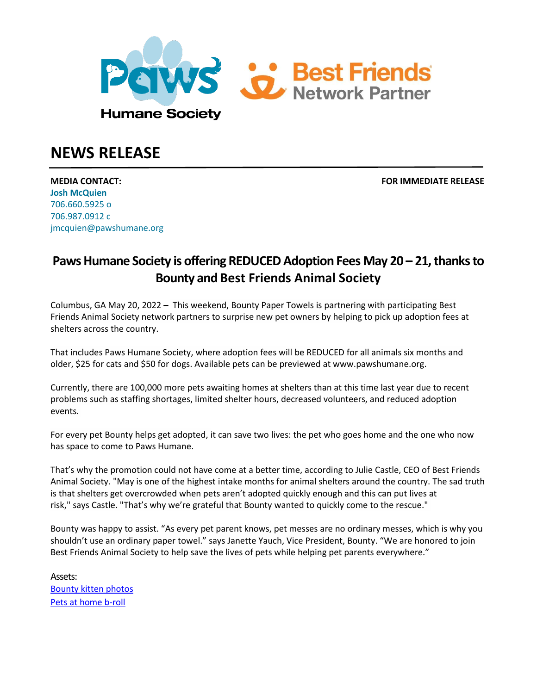

# **NEWS RELEASE**

**MEDIA CONTACT: FOR IMMEDIATE RELEASE Josh McQuien** 706.660.5925 o 706.987.0912 c jmcquien@pawshumane.org

# **Paws Humane Society is offering REDUCED Adoption Fees May 20 – 21, thanks to Bounty and Best Friends Animal Society**

Columbus, GA May 20, 2022 **–** This weekend, Bounty Paper Towels is partnering with participating Best Friends Animal Society network partners to surprise new pet owners by helping to pick up adoption fees at shelters across the country.

That includes Paws Humane Society, where adoption fees will be REDUCED for all animals six months and older, \$25 for cats and \$50 for dogs. Available pets can be previewed at www.pawshumane.org.

Currently, there are 100,000 more pets awaiting homes at shelters than at this time last year due to recent problems such as staffing shortages, limited shelter hours, decreased volunteers, and reduced adoption events.

For every pet Bounty helps get adopted, it can save two lives: the pet who goes home and the one who now has space to come to Paws Humane.

That's why the promotion could not have come at a better time, according to Julie Castle, CEO of Best Friends Animal Society. "May is one of the highest intake months for animal shelters around the country. The sad truth is that shelters get overcrowded when pets aren't adopted quickly enough and this can put lives at risk," says Castle. "That's why we're grateful that Bounty wanted to quickly come to the rescue." 

Bounty was happy to assist. "As every pet parent knows, pet messes are no ordinary messes, which is why you shouldn't use an ordinary paper towel." says Janette Yauch, Vice President, Bounty. "We are honored to join Best Friends Animal Society to help save the lives of pets while helping pet parents everywhere."

Assets: [Bounty](https://bestfriends.widencollective.com/c/lm6sit9m?t=tqg1hizs) kitten photos Pets at [home](https://bestfriends.widen.net/s/ctkfzs8mcz/211455_pets-at-home-broll) b-roll